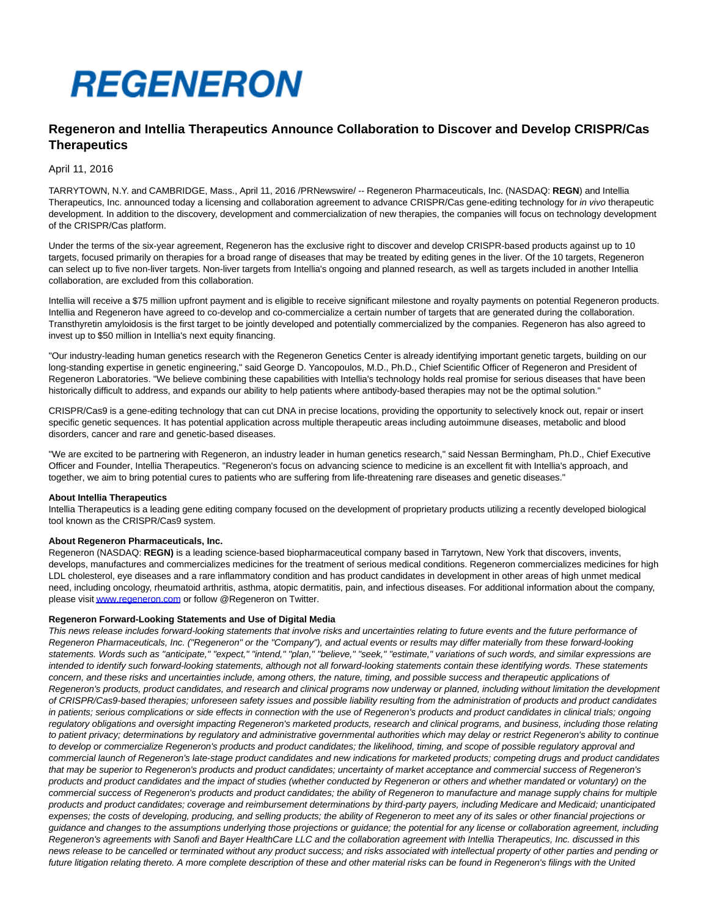

# **Regeneron and Intellia Therapeutics Announce Collaboration to Discover and Develop CRISPR/Cas Therapeutics**

## April 11, 2016

TARRYTOWN, N.Y. and CAMBRIDGE, Mass., April 11, 2016 /PRNewswire/ -- Regeneron Pharmaceuticals, Inc. (NASDAQ: **REGN**) and Intellia Therapeutics, Inc. announced today a licensing and collaboration agreement to advance CRISPR/Cas gene-editing technology for in vivo therapeutic development. In addition to the discovery, development and commercialization of new therapies, the companies will focus on technology development of the CRISPR/Cas platform.

Under the terms of the six-year agreement, Regeneron has the exclusive right to discover and develop CRISPR-based products against up to 10 targets, focused primarily on therapies for a broad range of diseases that may be treated by editing genes in the liver. Of the 10 targets, Regeneron can select up to five non-liver targets. Non-liver targets from Intellia's ongoing and planned research, as well as targets included in another Intellia collaboration, are excluded from this collaboration.

Intellia will receive a \$75 million upfront payment and is eligible to receive significant milestone and royalty payments on potential Regeneron products. Intellia and Regeneron have agreed to co-develop and co-commercialize a certain number of targets that are generated during the collaboration. Transthyretin amyloidosis is the first target to be jointly developed and potentially commercialized by the companies. Regeneron has also agreed to invest up to \$50 million in Intellia's next equity financing.

"Our industry-leading human genetics research with the Regeneron Genetics Center is already identifying important genetic targets, building on our long-standing expertise in genetic engineering," said George D. Yancopoulos, M.D., Ph.D., Chief Scientific Officer of Regeneron and President of Regeneron Laboratories. "We believe combining these capabilities with Intellia's technology holds real promise for serious diseases that have been historically difficult to address, and expands our ability to help patients where antibody-based therapies may not be the optimal solution."

CRISPR/Cas9 is a gene-editing technology that can cut DNA in precise locations, providing the opportunity to selectively knock out, repair or insert specific genetic sequences. It has potential application across multiple therapeutic areas including autoimmune diseases, metabolic and blood disorders, cancer and rare and genetic-based diseases.

"We are excited to be partnering with Regeneron, an industry leader in human genetics research," said Nessan Bermingham, Ph.D., Chief Executive Officer and Founder, Intellia Therapeutics. "Regeneron's focus on advancing science to medicine is an excellent fit with Intellia's approach, and together, we aim to bring potential cures to patients who are suffering from life-threatening rare diseases and genetic diseases."

#### **About Intellia Therapeutics**

Intellia Therapeutics is a leading gene editing company focused on the development of proprietary products utilizing a recently developed biological tool known as the CRISPR/Cas9 system.

## **About Regeneron Pharmaceuticals, Inc.**

Regeneron (NASDAQ: **REGN)** is a leading science-based biopharmaceutical company based in Tarrytown, New York that discovers, invents, develops, manufactures and commercializes medicines for the treatment of serious medical conditions. Regeneron commercializes medicines for high LDL cholesterol, eye diseases and a rare inflammatory condition and has product candidates in development in other areas of high unmet medical need, including oncology, rheumatoid arthritis, asthma, atopic dermatitis, pain, and infectious diseases. For additional information about the company, please visi[t www.regeneron.com o](http://www.regeneron.com/)r follow @Regeneron on Twitter.

## **Regeneron Forward-Looking Statements and Use of Digital Media**

This news release includes forward-looking statements that involve risks and uncertainties relating to future events and the future performance of Regeneron Pharmaceuticals, Inc. ("Regeneron" or the "Company"), and actual events or results may differ materially from these forward-looking statements. Words such as "anticipate," "expect," "intend," "plan," "believe," "seek," "estimate," variations of such words, and similar expressions are intended to identify such forward-looking statements, although not all forward-looking statements contain these identifying words. These statements concern, and these risks and uncertainties include, among others, the nature, timing, and possible success and therapeutic applications of Regeneron's products, product candidates, and research and clinical programs now underway or planned, including without limitation the development of CRISPR/Cas9-based therapies; unforeseen safety issues and possible liability resulting from the administration of products and product candidates in patients; serious complications or side effects in connection with the use of Regeneron's products and product candidates in clinical trials; ongoing regulatory obligations and oversight impacting Regeneron's marketed products, research and clinical programs, and business, including those relating to patient privacy; determinations by regulatory and administrative governmental authorities which may delay or restrict Regeneron's ability to continue to develop or commercialize Regeneron's products and product candidates; the likelihood, timing, and scope of possible regulatory approval and commercial launch of Regeneron's late-stage product candidates and new indications for marketed products; competing drugs and product candidates that may be superior to Regeneron's products and product candidates; uncertainty of market acceptance and commercial success of Regeneron's products and product candidates and the impact of studies (whether conducted by Regeneron or others and whether mandated or voluntary) on the commercial success of Regeneron's products and product candidates; the ability of Regeneron to manufacture and manage supply chains for multiple products and product candidates; coverage and reimbursement determinations by third-party payers, including Medicare and Medicaid; unanticipated expenses; the costs of developing, producing, and selling products; the ability of Regeneron to meet any of its sales or other financial projections or guidance and changes to the assumptions underlying those projections or guidance; the potential for any license or collaboration agreement, including Regeneron's agreements with Sanofi and Bayer HealthCare LLC and the collaboration agreement with Intellia Therapeutics, Inc. discussed in this news release to be cancelled or terminated without any product success; and risks associated with intellectual property of other parties and pending or future litigation relating thereto. A more complete description of these and other material risks can be found in Regeneron's filings with the United